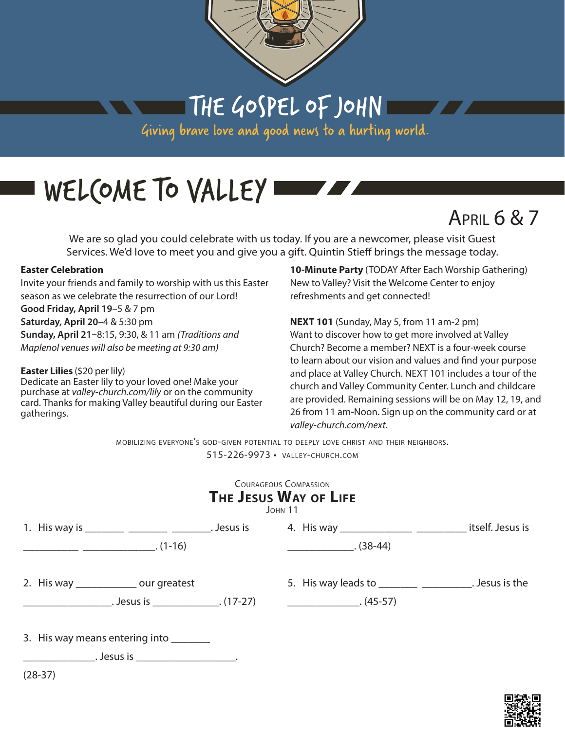

THE GOSPEL OF JOHN

Giving brave love and good news to a hurting world.

# WELCOME TO VALLEY

April 6 & 7

We are so glad you could celebrate with us today. If you are a newcomer, please visit Guest Services. We'd love to meet you and give you a gift. Quintin Stieff brings the message today.

#### **Easter Celebration**

Invite your friends and family to worship with us this Easter season as we celebrate the resurrection of our Lord! **Good Friday, April 19**–5 & 7 pm **Saturday, April 20**–4 & 5:30 pm **Sunday, April 21**–8:15, 9:30, & 11 am *(Traditions and Maplenol venues will also be meeting at 9:30 am)*

#### **Easter Lilies** (\$20 per lily)

Dedicate an Easter lily to your loved one! Make your purchase at *valley-church.com/lily* or on the community card. Thanks for making Valley beautiful during our Easter gatherings.

**10-Minute Party** (TODAY After Each Worship Gathering) New to Valley? Visit the Welcome Center to enjoy refreshments and get connected!

<u> Tanzania de la provincia de la provincia de la provincia de la provincia de la provincia de la provincia de la</u>

**NEXT 101** (Sunday, May 5, from 11 am-2 pm) Want to discover how to get more involved at Valley Church? Become a member? NEXT is a four-week course to learn about our vision and values and find your purpose and place at Valley Church. NEXT 101 includes a tour of the church and Valley Community Center. Lunch and childcare are provided. Remaining sessions will be on May 12, 19, and 26 from 11 am-Noon. Sign up on the community card or at *valley-church.com/next*.

mobilizing everyone's god-given potential to deeply love christ and their neighbors. 515-226-9973 • valley-church.com

#### Courageous Compassion **The Jesus Way of Life**

| 1. His way is ________ ________ ________. Jesus is |                                                    |                                                              | itself. Jesus is |
|----------------------------------------------------|----------------------------------------------------|--------------------------------------------------------------|------------------|
|                                                    | $(1-16)$                                           | $(38-44)$                                                    |                  |
| 2. His way _______________ our greatest            |                                                    | 5. His way leads to __________________________. Jesus is the |                  |
|                                                    | $J$ = $\sim$ $\sim$ $\sim$ $\sim$ $\sim$ $(17-27)$ | $\overline{\phantom{a} \phantom{a}}$ (45-57)                 |                  |
| 3. His way means entering into                     |                                                    |                                                              |                  |
|                                                    |                                                    |                                                              |                  |